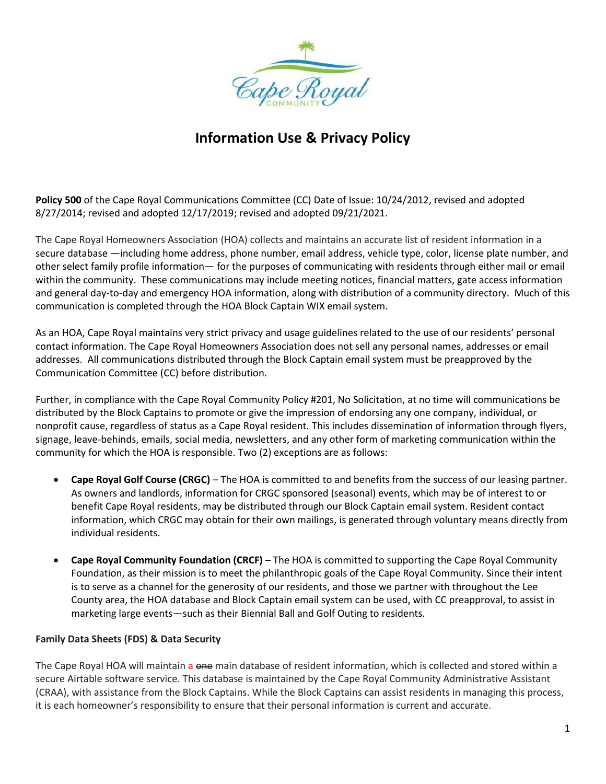

**Policy 500** of the Cape Royal Communications Committee (CC) Date of Issue: 10/24/2012, revised and adopted 8/27/2014; revised and adopted 12/17/2019; revised and adopted 09/21/2021.

The Cape Royal Homeowners Association (HOA) collects and maintains an accurate list of resident information in a secure database —including home address, phone number, email address, vehicle type, color, license plate number, and other select family profile information— for the purposes of communicating with residents through either mail or email within the community. These communications may include meeting notices, financial matters, gate access information and general day-to-day and emergency HOA information, along with distribution of a community directory. Much of this communication is completed through the HOA Block Captain WIX email system.

As an HOA, Cape Royal maintains very strict privacy and usage guidelines related to the use of our residents' personal contact information. The Cape Royal Homeowners Association does not sell any personal names, addresses or email addresses. All communications distributed through the Block Captain email system must be preapproved by the Communication Committee (CC) before distribution.

Further, in compliance with the Cape Royal Community Policy #201, No Solicitation, at no time will communications be distributed by the Block Captains to promote or give the impression of endorsing any one company, individual, or nonprofit cause, regardless of status as a Cape Royal resident. This includes dissemination of information through flyers, signage, leave-behinds, emails, social media, newsletters, and any other form of marketing communication within the community for which the HOA is responsible. Two (2) exceptions are as follows:

- **Cape Royal Golf Course (CRGC)** The HOA is committed to and benefits from the success of our leasing partner. As owners and landlords, information for CRGC sponsored (seasonal) events, which may be of interest to or benefit Cape Royal residents, may be distributed through our Block Captain email system. Resident contact information, which CRGC may obtain for their own mailings, is generated through voluntary means directly from individual residents.
- **Cape Royal Community Foundation (CRCF)** The HOA is committed to supporting the Cape Royal Community Foundation, as their mission is to meet the philanthropic goals of the Cape Royal Community. Since their intent is to serve as a channel for the generosity of our residents, and those we partner with throughout the Lee County area, the HOA database and Block Captain email system can be used, with CC preapproval, to assist in marketing large events—such as their Biennial Ball and Golf Outing to residents.

### **Family Data Sheets (FDS) & Data Security**

The Cape Royal HOA will maintain a one main database of resident information, which is collected and stored within a secure Airtable software service. This database is maintained by the Cape Royal Community Administrative Assistant (CRAA), with assistance from the Block Captains. While the Block Captains can assist residents in managing this process, it is each homeowner's responsibility to ensure that their personal information is current and accurate.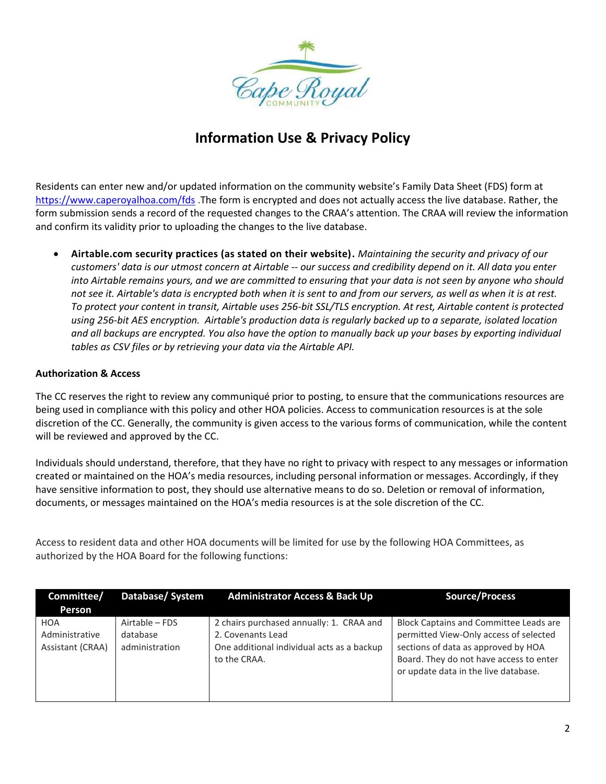

Residents can enter new and/or updated information on the community website's Family Data Sheet (FDS) form at <https://www.caperoyalhoa.com/fds> .The form is encrypted and does not actually access the live database. Rather, the form submission sends a record of the requested changes to the CRAA's attention. The CRAA will review the information and confirm its validity prior to uploading the changes to the live database.

• **Airtable.com security practices (as stated on their website).** *Maintaining the security and privacy of our customers' data is our utmost concern at Airtable -- our success and credibility depend on it. All data you enter into Airtable remains yours, and we are committed to ensuring that your data is not seen by anyone who should not see it. Airtable's data is encrypted both when it is sent to and from our servers, as well as when it is at rest. To protect your content in transit, Airtable uses 256-bit SSL/TLS encryption. At rest, Airtable content is protected using 256-bit AES encryption. Airtable's production data is regularly backed up to a separate, isolated location and all backups are encrypted. You also have the option to manually back up your bases by exporting individual tables as CSV files or by retrieving your data via the Airtable API.*

### **Authorization & Access**

The CC reserves the right to review any communiqué prior to posting, to ensure that the communications resources are being used in compliance with this policy and other HOA policies. Access to communication resources is at the sole discretion of the CC. Generally, the community is given access to the various forms of communication, while the content will be reviewed and approved by the CC.

Individuals should understand, therefore, that they have no right to privacy with respect to any messages or information created or maintained on the HOA's media resources, including personal information or messages. Accordingly, if they have sensitive information to post, they should use alternative means to do so. Deletion or removal of information, documents, or messages maintained on the HOA's media resources is at the sole discretion of the CC.

Access to resident data and other HOA documents will be limited for use by the following HOA Committees, as authorized by the HOA Board for the following functions:

| Committee/<br>Person                      | Database/System                              | <b>Administrator Access &amp; Back Up</b>                                                                                   | <b>Source/Process</b>                                                                                                                                                                                             |
|-------------------------------------------|----------------------------------------------|-----------------------------------------------------------------------------------------------------------------------------|-------------------------------------------------------------------------------------------------------------------------------------------------------------------------------------------------------------------|
| HOA<br>Administrative<br>Assistant (CRAA) | Airtable – FDS<br>database<br>administration | 2 chairs purchased annually: 1. CRAA and<br>2. Covenants Lead<br>One additional individual acts as a backup<br>to the CRAA. | <b>Block Captains and Committee Leads are</b><br>permitted View-Only access of selected<br>sections of data as approved by HOA<br>Board. They do not have access to enter<br>or update data in the live database. |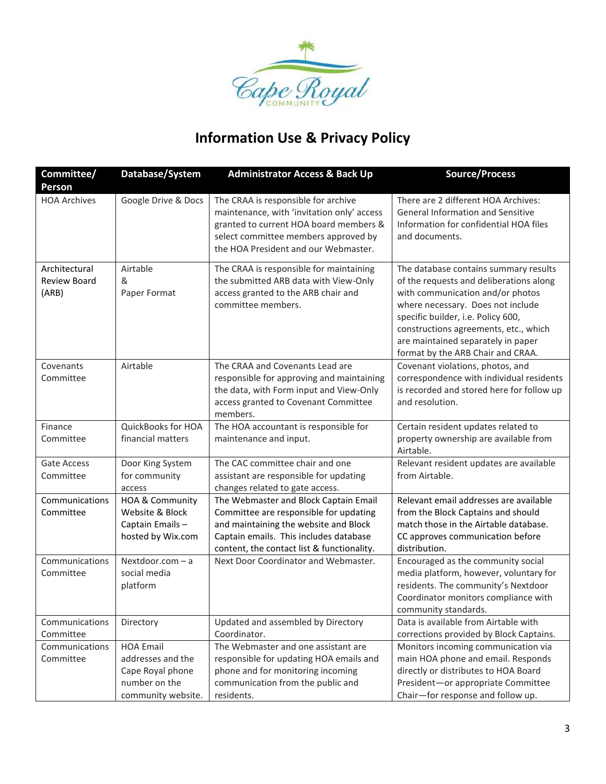

| Committee/<br>Person                          | Database/System                                                                                  | <b>Administrator Access &amp; Back Up</b>                                                                                                                                                                        | <b>Source/Process</b>                                                                                                                                                                                                                                                                                               |
|-----------------------------------------------|--------------------------------------------------------------------------------------------------|------------------------------------------------------------------------------------------------------------------------------------------------------------------------------------------------------------------|---------------------------------------------------------------------------------------------------------------------------------------------------------------------------------------------------------------------------------------------------------------------------------------------------------------------|
| <b>HOA Archives</b>                           | Google Drive & Docs                                                                              | The CRAA is responsible for archive<br>maintenance, with 'invitation only' access<br>granted to current HOA board members &<br>select committee members approved by<br>the HOA President and our Webmaster.      | There are 2 different HOA Archives:<br>General Information and Sensitive<br>Information for confidential HOA files<br>and documents.                                                                                                                                                                                |
| Architectural<br><b>Review Board</b><br>(ARB) | Airtable<br>&<br>Paper Format                                                                    | The CRAA is responsible for maintaining<br>the submitted ARB data with View-Only<br>access granted to the ARB chair and<br>committee members.                                                                    | The database contains summary results<br>of the requests and deliberations along<br>with communication and/or photos<br>where necessary. Does not include<br>specific builder, i.e. Policy 600,<br>constructions agreements, etc., which<br>are maintained separately in paper<br>format by the ARB Chair and CRAA. |
| Covenants<br>Committee                        | Airtable                                                                                         | The CRAA and Covenants Lead are<br>responsible for approving and maintaining<br>the data, with Form input and View-Only<br>access granted to Covenant Committee<br>members.                                      | Covenant violations, photos, and<br>correspondence with individual residents<br>is recorded and stored here for follow up<br>and resolution.                                                                                                                                                                        |
| Finance<br>Committee                          | QuickBooks for HOA<br>financial matters                                                          | The HOA accountant is responsible for<br>maintenance and input.                                                                                                                                                  | Certain resident updates related to<br>property ownership are available from<br>Airtable.                                                                                                                                                                                                                           |
| Gate Access<br>Committee                      | Door King System<br>for community<br>access                                                      | The CAC committee chair and one<br>assistant are responsible for updating<br>changes related to gate access.                                                                                                     | Relevant resident updates are available<br>from Airtable.                                                                                                                                                                                                                                                           |
| Communications<br>Committee                   | HOA & Community<br>Website & Block<br>Captain Emails-<br>hosted by Wix.com                       | The Webmaster and Block Captain Email<br>Committee are responsible for updating<br>and maintaining the website and Block<br>Captain emails. This includes database<br>content, the contact list & functionality. | Relevant email addresses are available<br>from the Block Captains and should<br>match those in the Airtable database.<br>CC approves communication before<br>distribution.                                                                                                                                          |
| Communications<br>Committee                   | Nextdoor.com - a<br>social media<br>platform                                                     | Next Door Coordinator and Webmaster.                                                                                                                                                                             | Encouraged as the community social<br>media platform, however, voluntary for<br>residents. The community's Nextdoor<br>Coordinator monitors compliance with<br>community standards.                                                                                                                                 |
| Communications<br>Committee                   | Directory                                                                                        | Updated and assembled by Directory<br>Coordinator.                                                                                                                                                               | Data is available from Airtable with<br>corrections provided by Block Captains.                                                                                                                                                                                                                                     |
| Communications<br>Committee                   | <b>HOA Email</b><br>addresses and the<br>Cape Royal phone<br>number on the<br>community website. | The Webmaster and one assistant are<br>responsible for updating HOA emails and<br>phone and for monitoring incoming<br>communication from the public and<br>residents.                                           | Monitors incoming communication via<br>main HOA phone and email. Responds<br>directly or distributes to HOA Board<br>President-or appropriate Committee<br>Chair-for response and follow up.                                                                                                                        |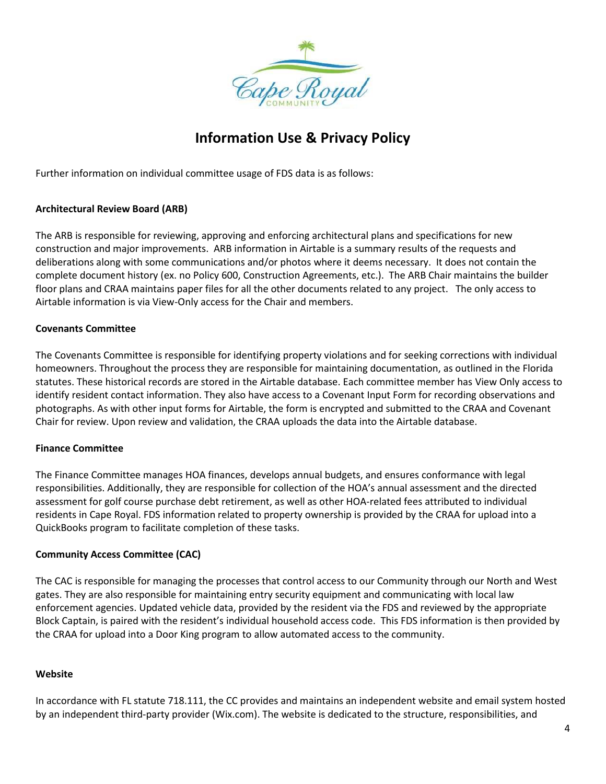

Further information on individual committee usage of FDS data is as follows:

### **Architectural Review Board (ARB)**

The ARB is responsible for reviewing, approving and enforcing architectural plans and specifications for new construction and major improvements. ARB information in Airtable is a summary results of the requests and deliberations along with some communications and/or photos where it deems necessary. It does not contain the complete document history (ex. no Policy 600, Construction Agreements, etc.). The ARB Chair maintains the builder floor plans and CRAA maintains paper files for all the other documents related to any project. The only access to Airtable information is via View-Only access for the Chair and members.

#### **Covenants Committee**

The Covenants Committee is responsible for identifying property violations and for seeking corrections with individual homeowners. Throughout the process they are responsible for maintaining documentation, as outlined in the Florida statutes. These historical records are stored in the Airtable database. Each committee member has View Only access to identify resident contact information. They also have access to a Covenant Input Form for recording observations and photographs. As with other input forms for Airtable, the form is encrypted and submitted to the CRAA and Covenant Chair for review. Upon review and validation, the CRAA uploads the data into the Airtable database.

#### **Finance Committee**

The Finance Committee manages HOA finances, develops annual budgets, and ensures conformance with legal responsibilities. Additionally, they are responsible for collection of the HOA's annual assessment and the directed assessment for golf course purchase debt retirement, as well as other HOA-related fees attributed to individual residents in Cape Royal. FDS information related to property ownership is provided by the CRAA for upload into a QuickBooks program to facilitate completion of these tasks.

#### **Community Access Committee (CAC)**

The CAC is responsible for managing the processes that control access to our Community through our North and West gates. They are also responsible for maintaining entry security equipment and communicating with local law enforcement agencies. Updated vehicle data, provided by the resident via the FDS and reviewed by the appropriate Block Captain, is paired with the resident's individual household access code. This FDS information is then provided by the CRAA for upload into a Door King program to allow automated access to the community.

#### **Website**

In accordance with FL statute 718.111, the CC provides and maintains an independent website and email system hosted by an independent third-party provider (Wix.com). The website is dedicated to the structure, responsibilities, and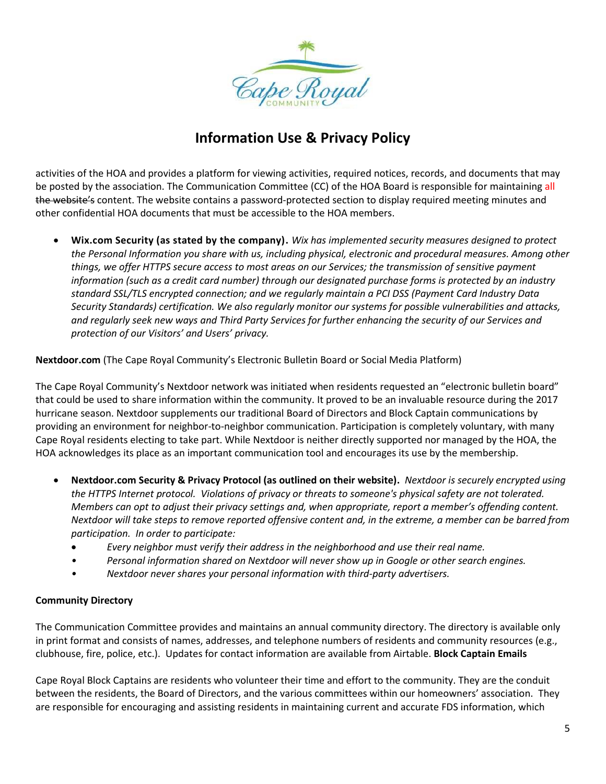

activities of the HOA and provides a platform for viewing activities, required notices, records, and documents that may be posted by the association. The Communication Committee (CC) of the HOA Board is responsible for maintaining all the website's content. The website contains a password-protected section to display required meeting minutes and other confidential HOA documents that must be accessible to the HOA members.

• **Wix.com Security (as stated by the company).** *Wix has implemented security measures designed to protect the Personal Information you share with us, including physical, electronic and procedural measures. Among other things, we offer HTTPS secure access to most areas on our Services; the transmission of sensitive payment information (such as a credit card number) through our designated purchase forms is protected by an industry standard SSL/TLS encrypted connection; and we regularly maintain a PCI DSS (Payment Card Industry Data Security Standards) certification. We also regularly monitor our systems for possible vulnerabilities and attacks, and regularly seek new ways and Third Party Services for further enhancing the security of our Services and protection of our Visitors' and Users' privacy.*

**Nextdoor.com** (The Cape Royal Community's Electronic Bulletin Board or Social Media Platform)

The Cape Royal Community's Nextdoor network was initiated when residents requested an "electronic bulletin board" that could be used to share information within the community. It proved to be an invaluable resource during the 2017 hurricane season. Nextdoor supplements our traditional Board of Directors and Block Captain communications by providing an environment for neighbor-to-neighbor communication. Participation is completely voluntary, with many Cape Royal residents electing to take part. While Nextdoor is neither directly supported nor managed by the HOA, the HOA acknowledges its place as an important communication tool and encourages its use by the membership.

- **Nextdoor.com Security & Privacy Protocol (as outlined on their website).** *Nextdoor is securely encrypted using the HTTPS Internet protocol. Violations of privacy or threats to someone's physical safety are not tolerated. Members can opt to adjust their privacy settings and, when appropriate, report a member's offending content. Nextdoor will take steps to remove reported offensive content and, in the extreme, a member can be barred from participation. In order to participate:*
	- *Every neighbor must verify their address in the neighborhood and use their real name.*
	- *• Personal information shared on Nextdoor will never show up in Google or other search engines.*
	- *• Nextdoor never shares your personal information with third-party advertisers.*

### **Community Directory**

The Communication Committee provides and maintains an annual community directory. The directory is available only in print format and consists of names, addresses, and telephone numbers of residents and community resources (e.g., clubhouse, fire, police, etc.). Updates for contact information are available from Airtable. **Block Captain Emails**

Cape Royal Block Captains are residents who volunteer their time and effort to the community. They are the conduit between the residents, the Board of Directors, and the various committees within our homeowners' association. They are responsible for encouraging and assisting residents in maintaining current and accurate FDS information, which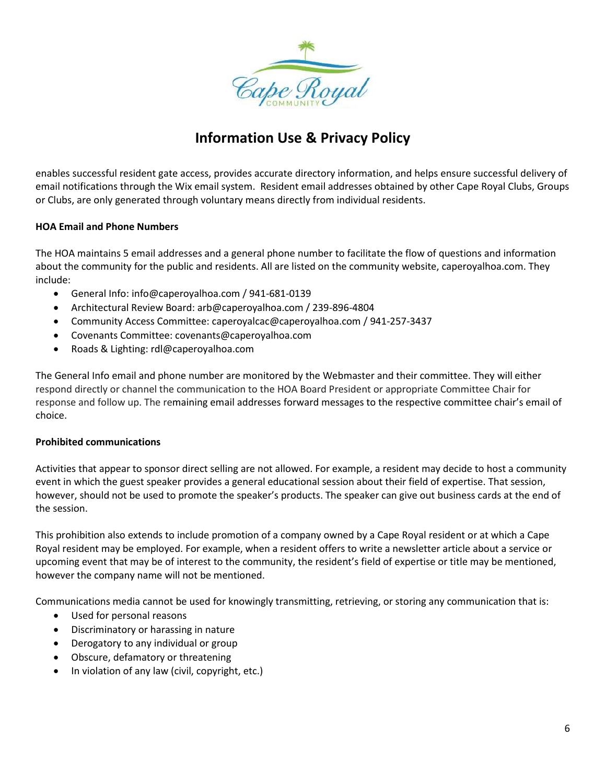

enables successful resident gate access, provides accurate directory information, and helps ensure successful delivery of email notifications through the Wix email system. Resident email addresses obtained by other Cape Royal Clubs, Groups or Clubs, are only generated through voluntary means directly from individual residents.

### **HOA Email and Phone Numbers**

The HOA maintains 5 email addresses and a general phone number to facilitate the flow of questions and information about the community for the public and residents. All are listed on the community website, caperoyalhoa.com. They include:

- General Info: info@caperoyalhoa.com / 941-681-0139
- Architectural Review Board: arb@caperoyalhoa.com / 239-896-4804
- Community Access Committee: caperoyalcac@caperoyalhoa.com / 941-257-3437
- Covenants Committee: covenants@caperoyalhoa.com
- Roads & Lighting: rdl@caperoyalhoa.com

The General Info email and phone number are monitored by the Webmaster and their committee. They will either respond directly or channel the communication to the HOA Board President or appropriate Committee Chair for response and follow up. The remaining email addresses forward messages to the respective committee chair's email of choice.

#### **Prohibited communications**

Activities that appear to sponsor direct selling are not allowed. For example, a resident may decide to host a community event in which the guest speaker provides a general educational session about their field of expertise. That session, however, should not be used to promote the speaker's products. The speaker can give out business cards at the end of the session.

This prohibition also extends to include promotion of a company owned by a Cape Royal resident or at which a Cape Royal resident may be employed. For example, when a resident offers to write a newsletter article about a service or upcoming event that may be of interest to the community, the resident's field of expertise or title may be mentioned, however the company name will not be mentioned.

Communications media cannot be used for knowingly transmitting, retrieving, or storing any communication that is:

- Used for personal reasons
- Discriminatory or harassing in nature
- Derogatory to any individual or group
- Obscure, defamatory or threatening
- In violation of any law (civil, copyright, etc.)